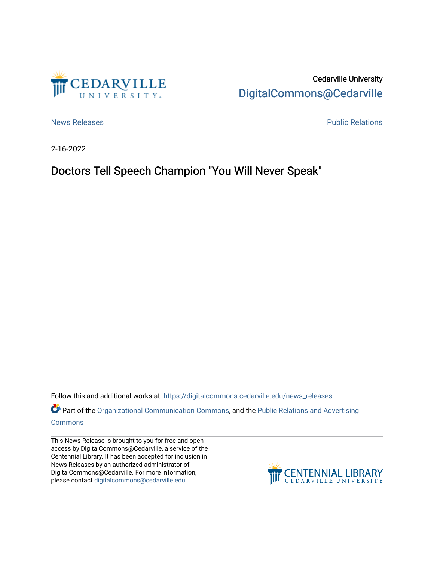

Cedarville University [DigitalCommons@Cedarville](https://digitalcommons.cedarville.edu/) 

[News Releases](https://digitalcommons.cedarville.edu/news_releases) **Public Relations Public Relations** 

2-16-2022

Doctors Tell Speech Champion "You Will Never Speak"

Follow this and additional works at: [https://digitalcommons.cedarville.edu/news\\_releases](https://digitalcommons.cedarville.edu/news_releases?utm_source=digitalcommons.cedarville.edu%2Fnews_releases%2F1500&utm_medium=PDF&utm_campaign=PDFCoverPages) 

Part of the [Organizational Communication Commons](http://network.bepress.com/hgg/discipline/335?utm_source=digitalcommons.cedarville.edu%2Fnews_releases%2F1500&utm_medium=PDF&utm_campaign=PDFCoverPages), and the Public Relations and Advertising [Commons](http://network.bepress.com/hgg/discipline/336?utm_source=digitalcommons.cedarville.edu%2Fnews_releases%2F1500&utm_medium=PDF&utm_campaign=PDFCoverPages)

This News Release is brought to you for free and open access by DigitalCommons@Cedarville, a service of the Centennial Library. It has been accepted for inclusion in News Releases by an authorized administrator of DigitalCommons@Cedarville. For more information, please contact [digitalcommons@cedarville.edu](mailto:digitalcommons@cedarville.edu).

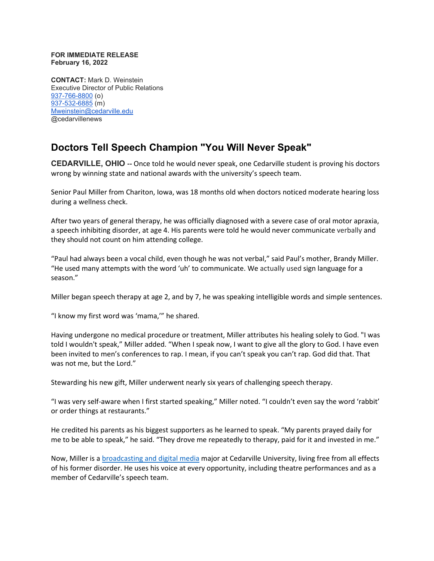## **FOR IMMEDIATE RELEASE February 16, 2022**

**CONTACT:** Mark D. Weinstein Executive Director of Public Relations [937-766-8800](tel:937-766-8800) (o) [937-532-6885](tel:937-532-6885) (m) [Mweinstein@cedarville.edu](mailto:Mweinstein@cedarville.edu) @cedarvillenews

## **Doctors Tell Speech Champion "You Will Never Speak"**

**CEDARVILLE, OHIO --** Once told he would never speak, one Cedarville student is proving his doctors wrong by winning state and national awards with the university's speech team.

Senior Paul Miller from Chariton, Iowa, was 18 months old when doctors noticed moderate hearing loss during a wellness check.

After two years of general therapy, he was officially diagnosed with a severe case of oral motor apraxia, a speech inhibiting disorder, at age 4. His parents were told he would never communicate verbally and they should not count on him attending college.

"Paul had always been a vocal child, even though he was not verbal," said Paul's mother, Brandy Miller. "He used many attempts with the word 'uh' to communicate. We actually used sign language for a season."

Miller began speech therapy at age 2, and by 7, he was speaking intelligible words and simple sentences.

"I know my first word was 'mama,'" he shared.

Having undergone no medical procedure or treatment, Miller attributes his healing solely to God. "I was told I wouldn't speak," Miller added. "When I speak now, I want to give all the glory to God. I have even been invited to men's conferences to rap. I mean, if you can't speak you can't rap. God did that. That was not me, but the Lord."

Stewarding his new gift, Miller underwent nearly six years of challenging speech therapy.

"I was very self-aware when I first started speaking," Miller noted. "I couldn't even say the word 'rabbit' or order things at restaurants."

He credited his parents as his biggest supporters as he learned to speak. "My parents prayed daily for me to be able to speak," he said. "They drove me repeatedly to therapy, paid for it and invested in me."

Now, Miller is a [broadcasting and digital media](https://www.cedarville.edu/academic-programs/broadcasting-digital-media-and-journalism) major at Cedarville University, living free from all effects of his former disorder. He uses his voice at every opportunity, including theatre performances and as a member of Cedarville's speech team.